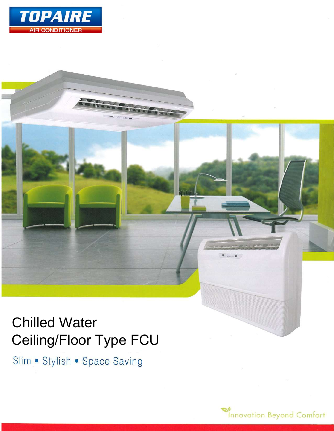

# Chilled Water Ceiling/Floor Type FCU

Slim • Stylish • Space Saving



 $7.0001$